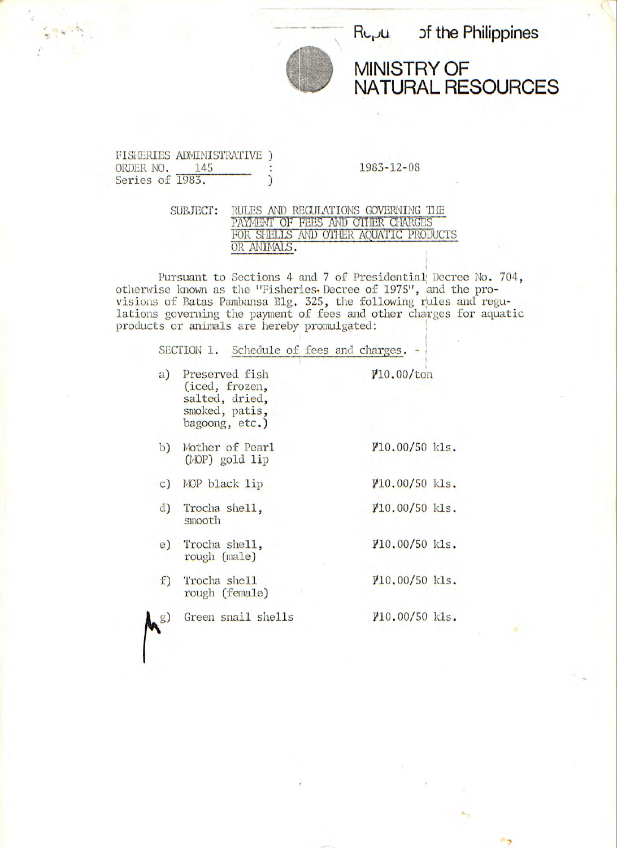

 $R_{L_1}U$  of the Philippines

MINISTRY OF NATURAL RESOURCES

## FISHERIES ADMINISTRATIVE )<br>ORDER NO. 145 : Series of 1983.

 $\begin{array}{ccc} \cdot & 1983 - 12 - 08 \\ \end{array}$ 

SUBJECT: RULES AND REGULATIONS GOVERNING THE PAYMENF OF FEES AND OTHER CHARGES FOR SHELLS AND OTHER AQUATIC PRODUCTS OR ANIMALS.

Pursuant to Sections 4 and 7 of Presidential Decree No. 704, otherwise known as the "Fisheries. Decree of 1975**11**, and the provisions of Batas Pambansa Blg. 325, the following rules and regulations governing the payment of fees and other charges for aquatic products or animals are hereby, promulgated:

|                | SECTION 1. Schedule of fees and charges. -                                                |                          |  |
|----------------|-------------------------------------------------------------------------------------------|--------------------------|--|
|                | a) Preserved fish<br>(iced, frozen,<br>salted, dried,<br>smoked, patis,<br>bagoong, etc.) | $\gamma$ 10.00/ton       |  |
| b)             | Mother of Pearl<br>(MOP) gold lip                                                         | $\rlap{10.00/50}$ kls.   |  |
| $\mathbf{C}$ ) | MOP black lip                                                                             | $\text{$10.00/50 Kls.}$  |  |
|                | d) Trocha shell,<br>smooth                                                                | $\gamma_{10.00/50}$ kls. |  |
| e)             | Trocha shell,<br>rough (male)                                                             | $V10.00/50$ kls.         |  |
| $f$ )          | Trocha she11<br>rough (female)                                                            | $\rlap{10.00/50}$ kls.   |  |
|                | Green snail shells                                                                        | $\rlap{10.00/50}$ kls.   |  |
|                |                                                                                           |                          |  |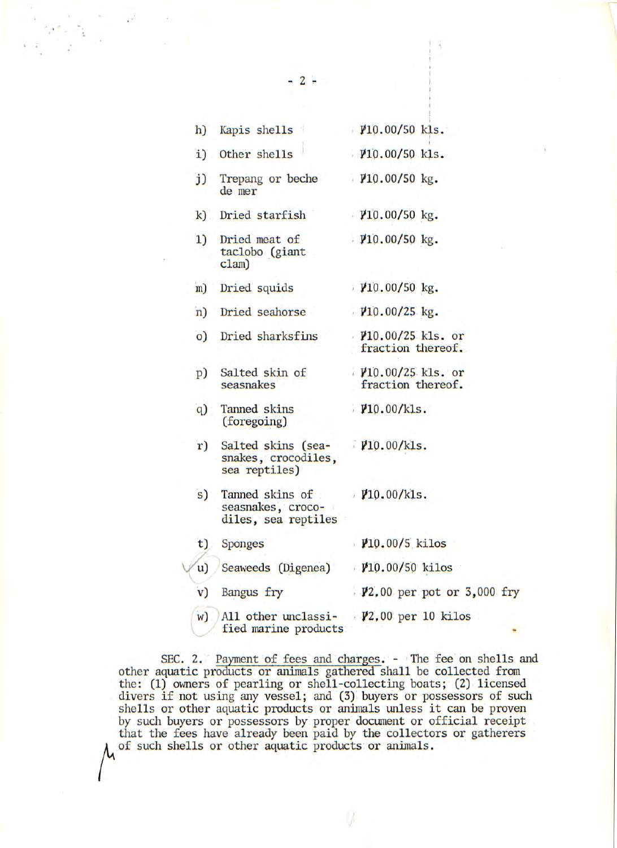| h)             | Kapis shells                                                                               | $\mu$ 10.00/50 kls.                             |
|----------------|--------------------------------------------------------------------------------------------|-------------------------------------------------|
| $\mathbf{i}$ ) | Other shells                                                                               | $V10.00/50$ kls.                                |
| $j$ )          | Trepang or beche<br>de mer                                                                 | $\frac{10.00}{50}$ kg.                          |
| $\mathbf{k}$   | Dried starfish                                                                             | $V10.00/50$ kg.                                 |
| 1)             | Dried meat of<br>taclobo (giant<br>clam)                                                   | $\frac{10.00}{50}$ kg.                          |
| m)             | Dried squids                                                                               | $\frac{10.00}{50 \text{ kg}}$ .                 |
| n)             | Dried seahorse                                                                             | $V10.00/25$ kg.                                 |
| $\circ$        | Dried sharksfins                                                                           | $\frac{10.00}{25}$ kls. or<br>fraction thereof. |
| p)             | Salted skin of<br>seasnakes                                                                | $\frac{10.00}{25}$ kls. or<br>fraction thereof. |
| q)             | Tanned skins<br>(foregoing)                                                                | $\frac{\text{M}}{\text{M}}0.00/\text{kls}$ .    |
| r)             | Salted skins (sea-<br>snakes, crocodiles,<br>sea reptiles)                                 | $V10.00/k$ ls.                                  |
| s)             | Tanned skins of $\frac{\nu_{10.00}}{k_{15}}$ .<br>seasnakes, croco-<br>diles, sea reptiles |                                                 |
| t)             | <b>Sponges</b>                                                                             | $\mu$ 10.00/5 kilos                             |
| $\mathbf{u}$   | Seaweeds (Digenea)                                                                         | $10.00/50$ kilos                                |
| $\mathbf{v})$  | Bangus fry                                                                                 | $\frac{1}{2}$ ,00 per pot or 3,000 fry          |
| w)             | All other unclassi- $\frac{1}{2}$ ,00 per 10 kilos<br>fied marine products                 |                                                 |

SEC. 2. Payment of fees and charges. - The fee on shells and other aquatic products or animals gathered shall be collected from the: (1) owners of pearling or shell-collecting boats; (2) licensed divers if not using any vessel; and (3) buyers or possessors of such shells or other aquatic products or animals unless it can be proven by such buyers or possessors by proper document or official receipt that the fees have already been paid by the collectors or gatherers of such shells or other aquatic products or animals.

-2-